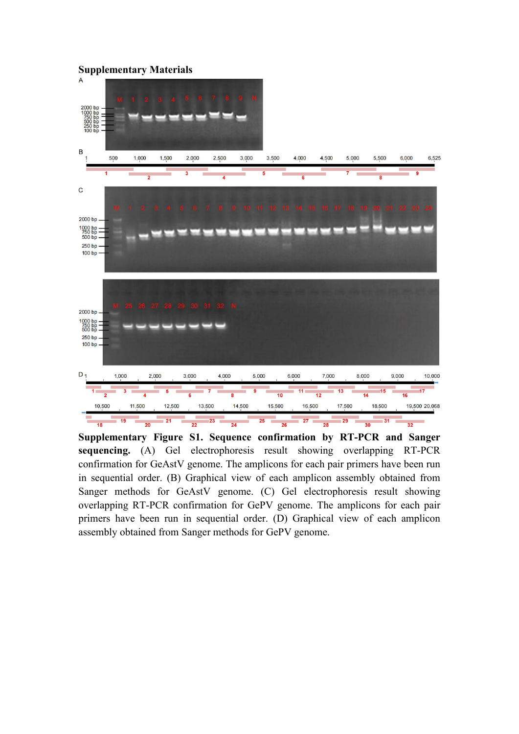

**Supplementary Figure S1. Sequence confirmation by RT-PCR and Sanger sequencing.** (A) Gel electrophoresis result showing overlapping RT-PCR confirmation for GeAstV genome. The amplicons for each pair primers have been run in sequential order. (B) Graphical view of each amplicon assembly obtained from Sanger methods for GeAstV genome. (C) Gel electrophoresis result showing overlapping RT-PCR confirmation for GePV genome. The amplicons for each pair primers have been run in sequential order. (D) Graphical view of each amplicon assembly obtained from Sanger methods for GePV genome.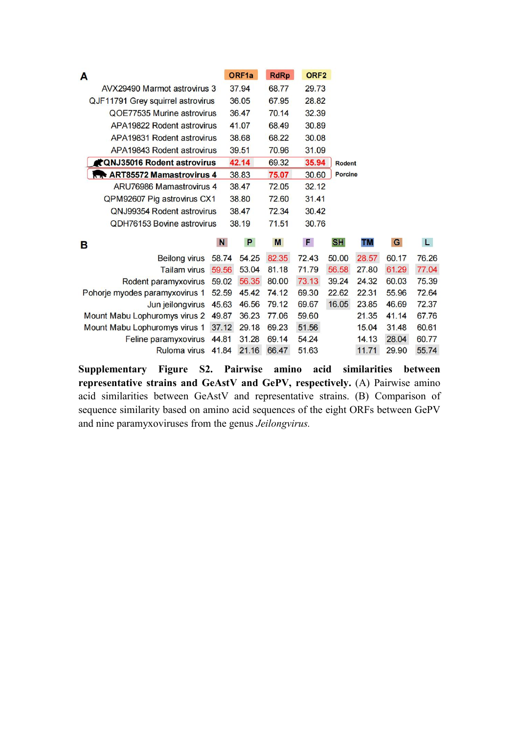| A |                                      |                | ORF1a          | <b>RdRp</b>    | ORF <sub>2</sub> |                |                |                |                |
|---|--------------------------------------|----------------|----------------|----------------|------------------|----------------|----------------|----------------|----------------|
|   | AVX29490 Marmot astrovirus 3         |                | 37.94          | 68.77          | 29.73            |                |                |                |                |
|   | QJF11791 Grey squirrel astrovirus    |                | 36.05          | 67.95          | 28.82            |                |                |                |                |
|   | QOE77535 Murine astrovirus           |                | 36.47          | 70.14          | 32.39            |                |                |                |                |
|   | APA19822 Rodent astrovirus           |                | 41.07          | 68.49          | 30.89            |                |                |                |                |
|   | APA19831 Rodent astrovirus           |                | 38.68          | 68.22          | 30.08            |                |                |                |                |
|   | APA19843 Rodent astrovirus           |                | 39.51          | 70.96          | 31.09            |                |                |                |                |
|   | <b>CONJ35016 Rodent astrovirus</b>   |                | 42.14          | 69.32          | 35.94            | <b>Rodent</b>  |                |                |                |
|   | <b>RR</b> ART85572 Mamastrovirus 4   |                | 38.83          | 75.07          | 30.60            | <b>Porcine</b> |                |                |                |
|   | ARU76986 Mamastrovirus 4             |                | 38.47          | 72.05          | 32.12            |                |                |                |                |
|   | QPM92607 Pig astrovirus CX1          |                | 38.80          | 72.60          | 31.41            |                |                |                |                |
|   | QNJ99354 Rodent astrovirus           |                | 38.47          | 72.34          | 30.42            |                |                |                |                |
|   |                                      |                |                |                |                  |                |                |                |                |
|   | QDH76153 Bovine astrovirus           |                | 38.19          | 71.51          | 30.76            |                |                |                |                |
| B |                                      | $\mathbf N$    | P              | M              | F.               | <b>SHI</b>     | TM             | ${\bf G}$      | L              |
|   | <b>Beilong virus</b>                 | 58.74          | 54.25          | 82.35          | 72.43            | 50.00          | 28.57          | 60.17          | 76.26          |
|   | <b>Tailam virus</b>                  | 59.56          | 53.04          | 81.18          | 71.79            | 56.58          | 27.80          | 61.29          | 77.04          |
|   | Rodent paramyxovirus                 | 59.02          | 56.35          | 80.00          | 73.13            | 39.24          | 24.32          | 60.03          | 75.39          |
|   | Pohorje myodes paramyxovirus 1       | 52.59          | 45.42          | 74.12          | 69.30            | 22.62          | 22.31          | 55.96          | 72.64          |
|   | Jun jeilongvirus                     | 45.63          | 46.56          | 79.12          | 69.67            | 16.05          | 23.85          | 46.69          | 72.37          |
|   | Mount Mabu Lophuromys virus 2        | 49.87          | 36.23          | 77.06          | 59.60            |                | 21.35          | 41.14          | 67.76          |
|   | Mount Mabu Lophuromys virus 1        | 37.12          | 29.18          | 69.23          | 51.56            |                | 15.04          | 31.48          | 60.61          |
|   | Feline paramyxovirus<br>Ruloma virus | 44.81<br>41.84 | 31.28<br>21.16 | 69.14<br>66.47 | 54.24<br>51.63   |                | 14.13<br>11.71 | 28.04<br>29.90 | 60.77<br>55.74 |

**Supplementary Figure S2. Pairwise amino acid similarities between representative strains and GeAstV and GePV, respectively.** (A) Pairwise amino acid similarities between GeAstV and representative strains. (B) Comparison of sequence similarity based on amino acid sequences of the eight ORFs between GePV and nine paramyxoviruses from the genus *Jeilongvirus.*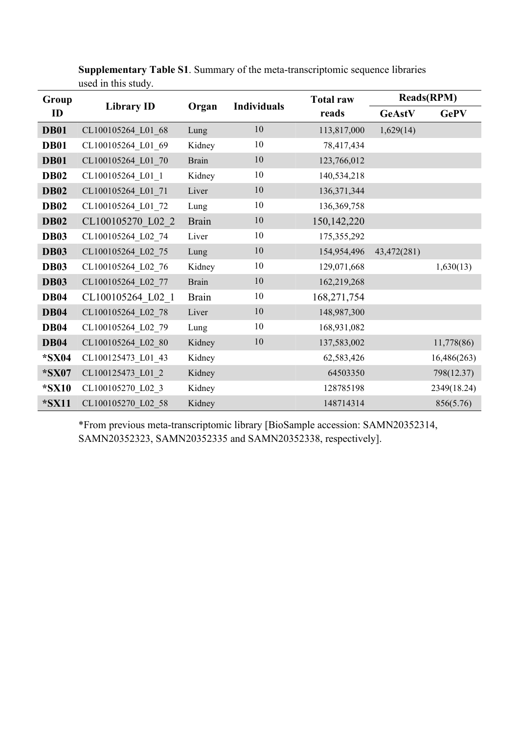| Group         | <b>Library ID</b>  | Organ        | <b>Individuals</b> | <b>Total raw</b><br>reads | <b>Reads(RPM)</b> |             |
|---------------|--------------------|--------------|--------------------|---------------------------|-------------------|-------------|
| $\mathbf{ID}$ |                    |              |                    |                           | GeAstV            | <b>GePV</b> |
| <b>DB01</b>   | CL100105264 L01 68 | Lung         | 10                 | 113,817,000               | 1,629(14)         |             |
| <b>DB01</b>   | CL100105264 L01 69 | Kidney       | 10                 | 78,417,434                |                   |             |
| <b>DB01</b>   | CL100105264 L01 70 | <b>Brain</b> | 10                 | 123,766,012               |                   |             |
| <b>DB02</b>   | CL100105264 L01 1  | Kidney       | 10                 | 140,534,218               |                   |             |
| <b>DB02</b>   | CL100105264 L01 71 | Liver        | 10                 | 136, 371, 344             |                   |             |
| <b>DB02</b>   | CL100105264 L01 72 | Lung         | 10                 | 136,369,758               |                   |             |
| <b>DB02</b>   | CL100105270 L02 2  | <b>Brain</b> | 10                 | 150, 142, 220             |                   |             |
| <b>DB03</b>   | CL100105264 L02 74 | Liver        | 10                 | 175,355,292               |                   |             |
| <b>DB03</b>   | CL100105264 L02 75 | Lung         | 10                 | 154,954,496               | 43,472(281)       |             |
| <b>DB03</b>   | CL100105264 L02 76 | Kidney       | 10                 | 129,071,668               |                   | 1,630(13)   |
| <b>DB03</b>   | CL100105264 L02 77 | Brain        | 10                 | 162,219,268               |                   |             |
| <b>DB04</b>   | CL100105264 L02 1  | <b>Brain</b> | 10                 | 168,271,754               |                   |             |
| <b>DB04</b>   | CL100105264 L02 78 | Liver        | 10                 | 148,987,300               |                   |             |
| <b>DB04</b>   | CL100105264 L02 79 | Lung         | 10                 | 168,931,082               |                   |             |
| <b>DB04</b>   | CL100105264 L02 80 | Kidney       | 10                 | 137,583,002               |                   | 11,778(86)  |
| *SX04         | CL100125473 L01 43 | Kidney       |                    | 62,583,426                |                   | 16,486(263) |
| *SX07         | CL100125473 L01 2  | Kidney       |                    | 64503350                  |                   | 798(12.37)  |
| *SX10         | CL100105270 L02 3  | Kidney       |                    | 128785198                 |                   | 2349(18.24) |
| $*$ SX11      | CL100105270 L02 58 | Kidney       |                    | 148714314                 |                   | 856(5.76)   |

**Supplementary Table S1**. Summary of the meta-transcriptomic sequence libraries used in this study.

\*From previous meta-transcriptomic library [BioSample accession: SAMN20352314, SAMN20352323, SAMN20352335 and SAMN20352338, respectively].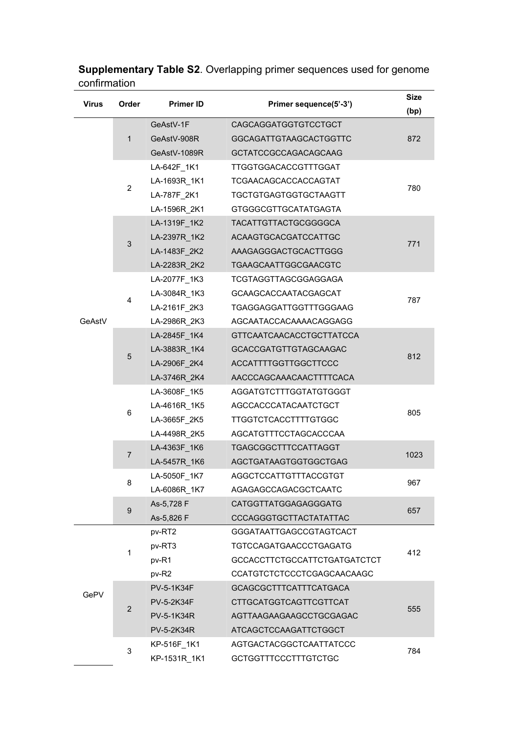|              | <b>Supplementary Table S2.</b> Overlapping primer sequences used for genome |
|--------------|-----------------------------------------------------------------------------|
| confirmation |                                                                             |

| <b>Virus</b> | Order          | <b>Primer ID</b>  | Primer sequence(5'-3')        | <b>Size</b> |  |
|--------------|----------------|-------------------|-------------------------------|-------------|--|
|              |                |                   |                               | (bp)        |  |
|              | $\mathbf{1}$   | GeAstV-1F         | CAGCAGGATGGTGTCCTGCT          | 872         |  |
|              |                | GeAstV-908R       | GGCAGATTGTAAGCACTGGTTC        |             |  |
|              |                | GeAstV-1089R      | GCTATCCGCCAGACAGCAAG          |             |  |
|              |                | LA-642F_1K1       | TTGGTGGACACCGTTTGGAT          |             |  |
|              | $\overline{c}$ | LA-1693R_1K1      | TCGAACAGCACCACCAGTAT          | 780         |  |
|              |                | LA-787F 2K1       | TGCTGTGAGTGGTGCTAAGTT         |             |  |
|              |                | LA-1596R_2K1      | <b>GTGGGCGTTGCATATGAGTA</b>   |             |  |
|              |                | LA-1319F_1K2      | TACATTGTTACTGCGGGGCA          |             |  |
|              |                | LA-2397R_1K2      | ACAAGTGCACGATCCATTGC          |             |  |
|              | $\sqrt{3}$     | LA-1483F_2K2      | AAAGAGGGACTGCACTTGGG          | 771         |  |
|              |                | LA-2283R_2K2      | TGAAGCAATTGGCGAACGTC          |             |  |
|              |                | LA-2077F 1K3      | TCGTAGGTTAGCGGAGGAGA          |             |  |
|              |                | LA-3084R 1K3      | GCAAGCACCAATACGAGCAT          |             |  |
|              | 4              | LA-2161F 2K3      | TGAGGAGGATTGGTTTGGGAAG        | 787         |  |
| GeAstV       |                | LA-2986R 2K3      | AGCAATACCACAAAACAGGAGG        |             |  |
|              |                | LA-2845F 1K4      | GTTCAATCAACACCTGCTTATCCA      |             |  |
|              | 5              | LA-3883R_1K4      | GCACCGATGTTGTAGCAAGAC         | 812         |  |
|              |                | LA-2906F_2K4      | ACCATTTTGGTTGGCTTCCC          |             |  |
|              |                | LA-3746R_2K4      | AACCCAGCAAACAACTTTTCACA       |             |  |
|              | 6              | LA-3608F_1K5      | AGGATGTCTTTGGTATGTGGGT        | 805         |  |
|              |                | LA-4616R_1K5      | AGCCACCCATACAATCTGCT          |             |  |
|              |                | LA-3665F_2K5      | <b>TTGGTCTCACCTTTTGTGGC</b>   |             |  |
|              |                | LA-4498R_2K5      | AGCATGTTTCCTAGCACCCAA         |             |  |
|              |                | LA-4363F_1K6      | TGAGCGGCTTTCCATTAGGT          |             |  |
|              | $\overline{7}$ | LA-5457R_1K6      | AGCTGATAAGTGGTGGCTGAG         | 1023        |  |
|              |                | LA-5050F_1K7      | AGGCTCCATTGTTTACCGTGT         |             |  |
|              | 8              | LA-6086R_1K7      | AGAGAGCCAGACGCTCAATC          | 967         |  |
|              | $9\,$          | As-5,728 F        | CATGGTTATGGAGAGGGATG          | 657         |  |
|              |                | As-5,826 F        | CCCAGGGTGCTTACTATATTAC        |             |  |
|              |                | pv-RT2            | GGGATAATTGAGCCGTAGTCACT       |             |  |
|              | 1              | pv-RT3            | TGTCCAGATGAACCCTGAGATG        | 412         |  |
|              |                | pv-R1             | GCCACCTTCTGCCATTCTGATGATCTCT  |             |  |
|              |                | pv-R2             | CCATGTCTCTCCCTCGAGCAACAAGC    |             |  |
| GePV         |                | PV-5-1K34F        | <b>GCAGCGCTTTCATTTCATGACA</b> |             |  |
|              | $\overline{2}$ | PV-5-2K34F        | CTTGCATGGTCAGTTCGTTCAT        | 555         |  |
|              |                | PV-5-1K34R        | AGTTAAGAAGAAGCCTGCGAGAC       |             |  |
|              |                | <b>PV-5-2K34R</b> | ATCAGCTCCAAGATTCTGGCT         |             |  |
|              | $\mathfrak{S}$ | KP-516F_1K1       | AGTGACTACGGCTCAATTATCCC       | 784         |  |
|              |                | KP-1531R_1K1      | <b>GCTGGTTTCCCTTTGTCTGC</b>   |             |  |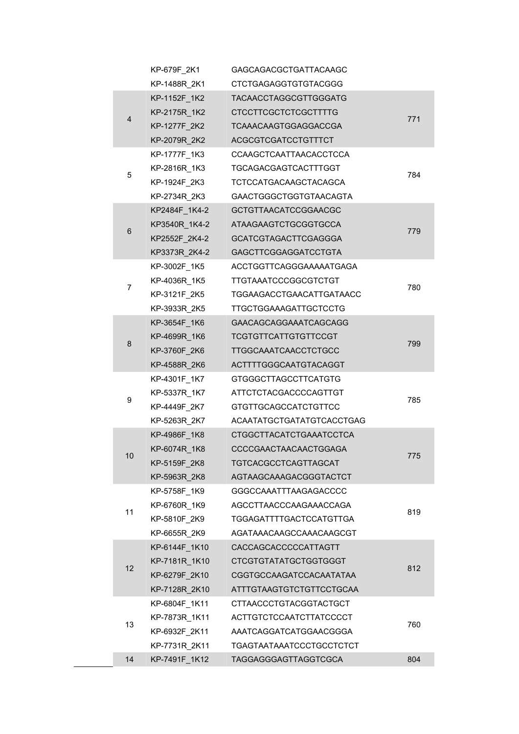|  |                  | KP-679F_2K1   | <b>GAGCAGACGCTGATTACAAGC</b>  |     |
|--|------------------|---------------|-------------------------------|-----|
|  |                  | KP-1488R_2K1  | <b>CTCTGAGAGGTGTGTACGGG</b>   |     |
|  |                  | KP-1152F_1K2  | TACAACCTAGGCGTTGGGATG         |     |
|  |                  | KP-2175R 1K2  | <b>CTCCTTCGCTCTCGCTTTTG</b>   |     |
|  | 4                | KP-1277F_2K2  | TCAAACAAGTGGAGGACCGA          | 771 |
|  |                  | KP-2079R_2K2  | ACGCGTCGATCCTGTTTCT           |     |
|  |                  | KP-1777F_1K3  | CCAAGCTCAATTAACACCTCCA        |     |
|  |                  | KP-2816R 1K3  | TGCAGACGAGTCACTTTGGT          |     |
|  | 5                | KP-1924F 2K3  | TCTCCATGACAAGCTACAGCA         | 784 |
|  |                  | KP-2734R_2K3  | <b>GAACTGGGCTGGTGTAACAGTA</b> |     |
|  |                  | KP2484F_1K4-2 | <b>GCTGTTAACATCCGGAACGC</b>   |     |
|  | $\,6$            | KP3540R_1K4-2 | ATAAGAAGTCTGCGGTGCCA          | 779 |
|  |                  | KP2552F_2K4-2 | <b>GCATCGTAGACTTCGAGGGA</b>   |     |
|  |                  | KP3373R 2K4-2 | <b>GAGCTTCGGAGGATCCTGTA</b>   |     |
|  |                  | KP-3002F_1K5  | ACCTGGTTCAGGGAAAAATGAGA       |     |
|  | $\boldsymbol{7}$ | KP-4036R 1K5  | <b>TTGTAAATCCCGGCGTCTGT</b>   | 780 |
|  |                  | KP-3121F_2K5  | TGGAAGACCTGAACATTGATAACC      |     |
|  |                  | KP-3933R_2K5  | TTGCTGGAAAGATTGCTCCTG         |     |
|  |                  | KP-3654F_1K6  | GAACAGCAGGAAATCAGCAGG         |     |
|  | 8                | KP-4699R_1K6  | <b>TCGTGTTCATTGTGTTCCGT</b>   | 799 |
|  |                  | KP-3760F_2K6  | <b>TTGGCAAATCAACCTCTGCC</b>   |     |
|  |                  | KP-4588R_2K6  | ACTTTTGGGCAATGTACAGGT         |     |
|  |                  | KP-4301F_1K7  | <b>GTGGGCTTAGCCTTCATGTG</b>   | 785 |
|  | 9                | KP-5337R_1K7  | ATTCTCTACGACCCCAGTTGT         |     |
|  |                  | KP-4449F_2K7  | <b>GTGTTGCAGCCATCTGTTCC</b>   |     |
|  |                  | KP-5263R 2K7  | ACAATATGCTGATATGTCACCTGAG     |     |
|  |                  | KP-4986F_1K8  | CTGGCTTACATCTGAAATCCTCA       |     |
|  | 10               | KP-6074R 1K8  | CCCCGAACTAACAACTGGAGA         | 775 |
|  |                  | KP-5159F_2K8  | TGTCACGCCTCAGTTAGCAT          |     |
|  |                  | KP-5963R 2K8  | AGTAAGCAAAGACGGGTACTCT        |     |
|  |                  | KP-5758F_1K9  | GGGCCAAATTTAAGAGACCCC         |     |
|  | 11               | KP-6760R_1K9  | AGCCTTAACCCAAGAAACCAGA        | 819 |
|  |                  | KP-5810F 2K9  | TGGAGATTTTGACTCCATGTTGA       |     |
|  |                  | KP-6655R_2K9  | AGATAAACAAGCCAAACAAGCGT       |     |
|  |                  | KP-6144F 1K10 | CACCAGCACCCCCATTAGTT          |     |
|  | 12               | KP-7181R 1K10 | <b>CTCGTGTATATGCTGGTGGGT</b>  | 812 |
|  |                  | KP-6279F_2K10 | CGGTGCCAAGATCCACAATATAA       |     |
|  |                  | KP-7128R_2K10 | ATTTGTAAGTGTCTGTTCCTGCAA      |     |
|  |                  | KP-6804F_1K11 | CTTAACCCTGTACGGTACTGCT        |     |
|  | 13               | KP-7873R_1K11 | ACTTGTCTCCAATCTTATCCCCT       | 760 |
|  |                  | KP-6932F 2K11 | AAATCAGGATCATGGAACGGGA        |     |
|  |                  | KP-7731R_2K11 | TGAGTAATAAATCCCTGCCTCTCT      |     |
|  | 14               | KP-7491F_1K12 | TAGGAGGGAGTTAGGTCGCA          | 804 |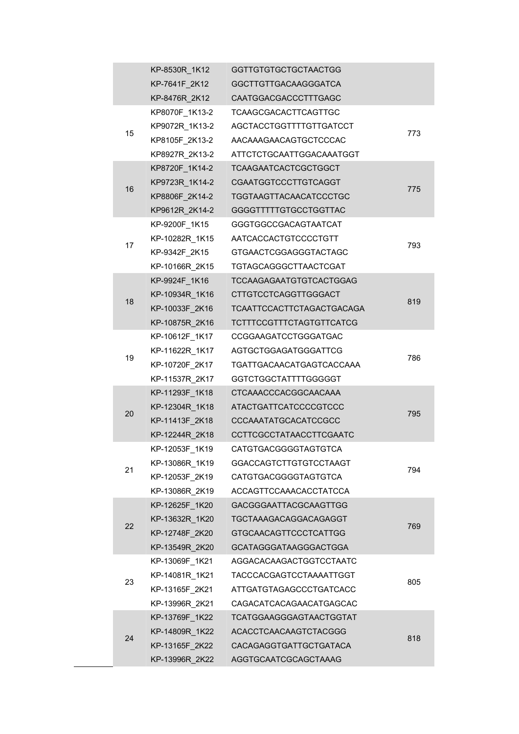|  |    | KP-8530R_1K12  | <b>GGTTGTGTGCTGCTAACTGG</b>    |     |
|--|----|----------------|--------------------------------|-----|
|  |    | KP-7641F_2K12  | GGCTTGTTGACAAGGGATCA           |     |
|  |    | KP-8476R_2K12  | CAATGGACGACCCTTTGAGC           |     |
|  |    | KP8070F 1K13-2 | TCAAGCGACACTTCAGTTGC           |     |
|  |    | KP9072R_1K13-2 | AGCTACCTGGTTTTGTTGATCCT        |     |
|  | 15 | KP8105F_2K13-2 | AACAAAGAACAGTGCTCCCAC          | 773 |
|  |    | KP8927R 2K13-2 | ATTCTCTGCAATTGGACAAATGGT       |     |
|  |    | KP8720F_1K14-2 | <b>TCAAGAATCACTCGCTGGCT</b>    |     |
|  |    | KP9723R 1K14-2 | CGAATGGTCCCTTGTCAGGT           |     |
|  | 16 | KP8806F_2K14-2 | TGGTAAGTTACAACATCCCTGC         | 775 |
|  |    | KP9612R_2K14-2 | <b>GGGGTTTTTGTGCCTGGTTAC</b>   |     |
|  |    | KP-9200F_1K15  | GGGTGGCCGACAGTAATCAT           |     |
|  | 17 | KP-10282R_1K15 | AATCACCACTGTCCCCTGTT           | 793 |
|  |    | KP-9342F 2K15  | GTGAACTCGGAGGGTACTAGC          |     |
|  |    | KP-10166R_2K15 | TGTAGCAGGGCTTAACTCGAT          |     |
|  |    | KP-9924F_1K16  | TCCAAGAGAATGTGTCACTGGAG        |     |
|  | 18 | KP-10934R_1K16 | <b>CTTGTCCTCAGGTTGGGACT</b>    | 819 |
|  |    | KP-10033F_2K16 | TCAATTCCACTTCTAGACTGACAGA      |     |
|  |    | KP-10875R_2K16 | TCTTTCCGTTTCTAGTGTTCATCG       |     |
|  |    | KP-10612F_1K17 | CCGGAAGATCCTGGGATGAC           |     |
|  | 19 | KP-11622R_1K17 | AGTGCTGGAGATGGGATTCG           | 786 |
|  |    | KP-10720F_2K17 | TGATTGACAACATGAGTCACCAAA       |     |
|  |    | KP-11537R_2K17 | GGTCTGGCTATTTTGGGGGT           |     |
|  |    | KP-11293F_1K18 | CTCAAACCCACGGCAACAAA           |     |
|  | 20 | KP-12304R_1K18 | <b>ATACTGATTCATCCCCGTCCC</b>   | 795 |
|  |    | KP-11413F_2K18 | CCCAAATATGCACATCCGCC           |     |
|  |    | KP-12244R_2K18 | CCTTCGCCTATAACCTTCGAATC        |     |
|  |    | KP-12053F 1K19 | <b>CATGTGACGGGGTAGTGTCA</b>    |     |
|  | 21 | KP-13086R_1K19 | GGACCAGTCTTGTGTCCTAAGT         | 794 |
|  |    | KP-12053F_2K19 | CATGTGACGGGGTAGTGTCA           |     |
|  |    | KP-13086R_2K19 | ACCAGTTCCAAACACCTATCCA         |     |
|  |    | KP-12625F 1K20 | GACGGGAATTACGCAAGTTGG          |     |
|  | 22 | KP-13632R 1K20 | <b>TGCTAAAGACAGGACAGAGGT</b>   | 769 |
|  |    | KP-12748F_2K20 | GTGCAACAGTTCCCTCATTGG          |     |
|  |    | KP-13549R_2K20 | GCATAGGGATAAGGGACTGGA          |     |
|  |    | KP-13069F_1K21 | AGGACACAAGACTGGTCCTAATC        |     |
|  | 23 | KP-14081R_1K21 | TACCCACGAGTCCTAAAATTGGT        | 805 |
|  |    | KP-13165F_2K21 | ATTGATGTAGAGCCCTGATCACC        |     |
|  |    | KP-13996R_2K21 | CAGACATCACAGAACATGAGCAC        |     |
|  |    | KP-13769F_1K22 | <b>TCATGGAAGGGAGTAACTGGTAT</b> |     |
|  | 24 | KP-14809R 1K22 | ACACCTCAACAAGTCTACGGG          | 818 |
|  |    | KP-13165F_2K22 | CACAGAGGTGATTGCTGATACA         |     |
|  |    | KP-13996R_2K22 | AGGTGCAATCGCAGCTAAAG           |     |